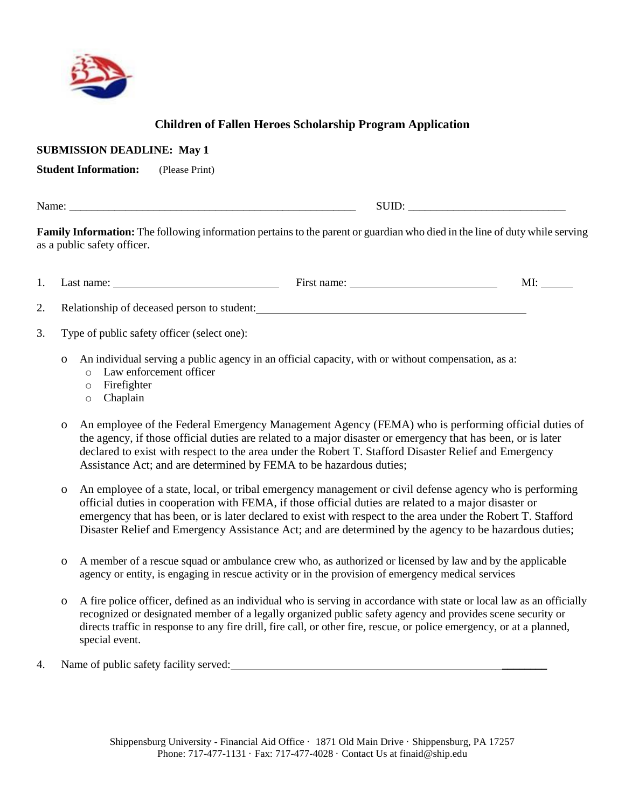

## **Children of Fallen Heroes Scholarship Program Application**

| <b>SUBMISSION DEADLINE: May 1</b><br><b>Student Information:</b><br>(Please Print)                                                                                                                                     |                                                                                            |             |     |  |  |  |
|------------------------------------------------------------------------------------------------------------------------------------------------------------------------------------------------------------------------|--------------------------------------------------------------------------------------------|-------------|-----|--|--|--|
| $\text{SUB:}\n \qquad \qquad \overbrace{\qquad \qquad }$<br>Family Information: The following information pertains to the parent or guardian who died in the line of duty while serving<br>as a public safety officer. |                                                                                            |             |     |  |  |  |
|                                                                                                                                                                                                                        | Last name:                                                                                 | First name: | MI: |  |  |  |
| 2.<br>3.                                                                                                                                                                                                               | Relationship of deceased person to student:<br>Type of public safety officer (select one): |             |     |  |  |  |

- o An individual serving a public agency in an official capacity, with or without compensation, as a:
	- o Law enforcement officer
	- o Firefighter
	- o Chaplain
- o An employee of the Federal Emergency Management Agency (FEMA) who is performing official duties of the agency, if those official duties are related to a major disaster or emergency that has been, or is later declared to exist with respect to the area under the Robert T. Stafford Disaster Relief and Emergency Assistance Act; and are determined by FEMA to be hazardous duties;
- o An employee of a state, local, or tribal emergency management or civil defense agency who is performing official duties in cooperation with FEMA, if those official duties are related to a major disaster or emergency that has been, or is later declared to exist with respect to the area under the Robert T. Stafford Disaster Relief and Emergency Assistance Act; and are determined by the agency to be hazardous duties;
- o A member of a rescue squad or ambulance crew who, as authorized or licensed by law and by the applicable agency or entity, is engaging in rescue activity or in the provision of emergency medical services
- o A fire police officer, defined as an individual who is serving in accordance with state or local law as an officially recognized or designated member of a legally organized public safety agency and provides scene security or directs traffic in response to any fire drill, fire call, or other fire, rescue, or police emergency, or at a planned, special event.
- 4. Name of public safety facility served: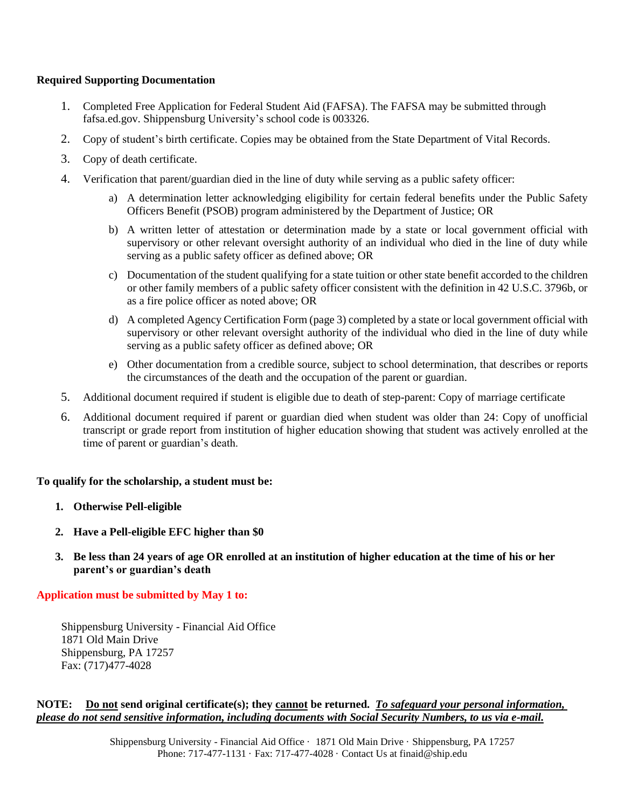#### **Required Supporting Documentation**

- 1. Completed Free Application for Federal Student Aid (FAFSA). The FAFSA may be submitted through fafsa.ed.gov. Shippensburg University's school code is 003326.
- 2. Copy of student's birth certificate. Copies may be obtained from the State Department of Vital Records.
- 3. Copy of death certificate.
- 4. Verification that parent/guardian died in the line of duty while serving as a public safety officer:
	- a) A determination letter acknowledging eligibility for certain federal benefits under the Public Safety Officers Benefit (PSOB) program administered by the Department of Justice; OR
	- b) A written letter of attestation or determination made by a state or local government official with supervisory or other relevant oversight authority of an individual who died in the line of duty while serving as a public safety officer as defined above; OR
	- c) Documentation of the student qualifying for a state tuition or other state benefit accorded to the children or other family members of a public safety officer consistent with the definition in 42 U.S.C. 3796b, or as a fire police officer as noted above; OR
	- d) A completed Agency Certification Form (page 3) completed by a state or local government official with supervisory or other relevant oversight authority of the individual who died in the line of duty while serving as a public safety officer as defined above; OR
	- e) Other documentation from a credible source, subject to school determination, that describes or reports the circumstances of the death and the occupation of the parent or guardian.
- 5. Additional document required if student is eligible due to death of step-parent: Copy of marriage certificate
- 6. Additional document required if parent or guardian died when student was older than 24: Copy of unofficial transcript or grade report from institution of higher education showing that student was actively enrolled at the time of parent or guardian's death.

#### **To qualify for the scholarship, a student must be:**

- **1. Otherwise Pell-eligible**
- **2. Have a Pell-eligible EFC higher than \$0**
- **3. Be less than 24 years of age OR enrolled at an institution of higher education at the time of his or her parent's or guardian's death**

### **Application must be submitted by May 1 to:**

Shippensburg University - Financial Aid Office 1871 Old Main Drive Shippensburg, PA 17257 Fax: (717)477-4028

#### **NOTE: Do not send original certificate(s); they cannot be returned.** *To safeguard your personal information, please do not send sensitive information, including documents with Social Security Numbers, to us via e-mail.*

Shippensburg University - Financial Aid Office · 1871 Old Main Drive · Shippensburg, PA 17257 Phone: 717-477-1131 · Fax: 717-477-4028 · Contact Us at finaid@ship.edu